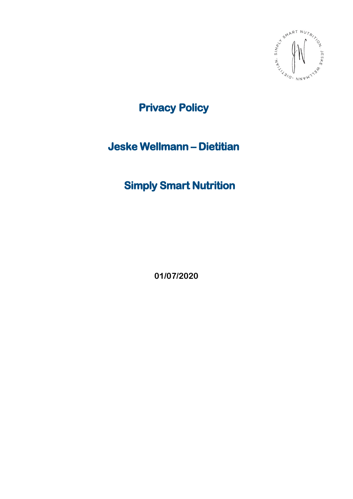

**Privacy Policy**

# **Jeske Wellmann – Dietitian**

# **Simply Smart Nutrition**

**01/07/2020**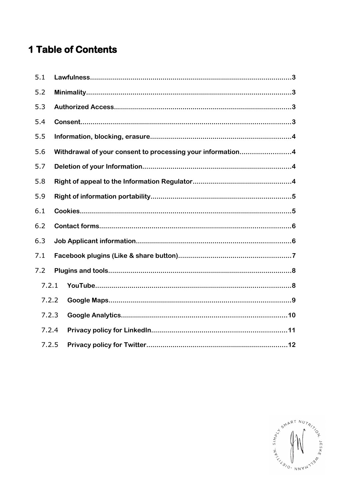# **1 Table of Contents**

| 5.1 |                                                            |  |  |
|-----|------------------------------------------------------------|--|--|
| 5.2 |                                                            |  |  |
| 5.3 |                                                            |  |  |
| 5.4 |                                                            |  |  |
| 5.5 |                                                            |  |  |
| 5.6 | Withdrawal of your consent to processing your information4 |  |  |
| 5.7 |                                                            |  |  |
| 5.8 |                                                            |  |  |
| 5.9 |                                                            |  |  |
| 6.1 |                                                            |  |  |
| 6.2 |                                                            |  |  |
| 6.3 |                                                            |  |  |
| 7.1 |                                                            |  |  |
| 7.2 |                                                            |  |  |
|     | 7.2.1                                                      |  |  |
|     | 7.2.2                                                      |  |  |
|     | 7.2.3                                                      |  |  |
|     | 7.2.4                                                      |  |  |
|     | 7.2.5                                                      |  |  |

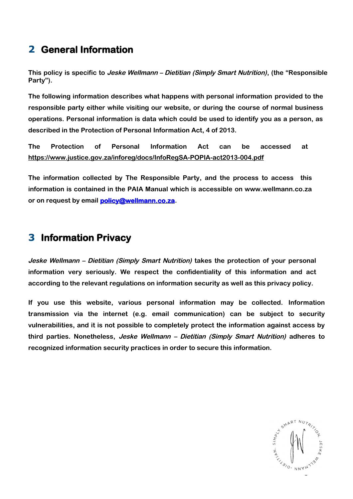## **2 General Information**

**This policy is specific to Jeske Wellmann – Dietitian (Simply Smart Nutrition), (the "Responsible Party").**

**The following information describes what happens with personal information provided to the responsible party either while visiting our website, or during the course of normal business operations. Personal information is data which could be used to identify you as a person, as described in the Protection of Personal Information Act, 4 of 2013.**

**The Protection of Personal Information Act can be accessed at https:// www.justice.gov.za/inforeg/docs/InfoRegSA-POPIA-act2013-004.pdf**

**The information collected by The Responsible Party, and the process to access this information is contained in the PAIA Manual which is accessible on www.wellmann.co.za or on request by email [policy @wellmann.co.za](mailto:policy@wellmann.co.za).**

### **3 Information Privacy**

**Jeske Wellmann – Dietitian (Simply Smart Nutrition) takes the protection of your personal information very seriously. We respect the confidentiality of this information and act according to the relevant regulations on information security as well as this privacy policy.**

**If you use this website, various personal information may be collected. Information transmission via the internet (e.g. email communication) can be subject to security vulnerabilities, and it is not possible to completely protect the information against access by third parties. Nonetheless, Jeske Wellmann – Dietitian (Simply Smart Nutrition) adheres to recognized information security practices in order to secure this information.**

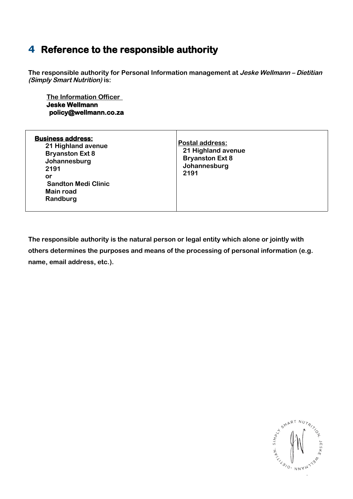### **4 Reference to the responsible authority**

**The responsible authority for Personal Information management at Jeske Wellmann – Dietitian (Simply Smart Nutrition) is:**

 **The Information Officer Jeske Wellmann policy@wellmann.co.za**

| <b>Business address:</b><br>21 Highland avenue<br><b>Bryanston Ext 8</b><br>Johannesburg<br>2191<br>or<br><b>Sandton Medi Clinic</b><br>Main road<br>Randburg | <b>Postal address:</b><br>21 Highland avenue<br><b>Bryanston Ext 8</b><br>Johannesburg<br>2191 |
|---------------------------------------------------------------------------------------------------------------------------------------------------------------|------------------------------------------------------------------------------------------------|
|---------------------------------------------------------------------------------------------------------------------------------------------------------------|------------------------------------------------------------------------------------------------|

**The responsible authority is the natural person or legal entity which alone or jointly with others determines the purposes and means of the processing of personal information (e.g. name, email address, etc.).**

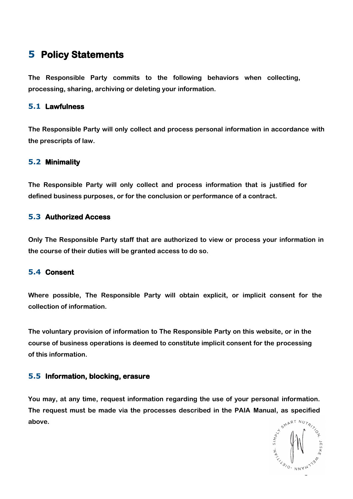### **5 Policy Statements**

**The Responsible Party commits to the following behaviors when collecting, processing, sharing, archiving or deleting your information.**

#### **5.1 Lawfulness**

**The Responsible Party will only collect and process personal information in accordance with the prescripts of law.**

#### **5.2 Minimality**

**The Responsible Party will only collect and process information that is justified for defined business purposes, or for the conclusion or performance of a contract.**

#### **5.3 Authorized Access**

**Only The Responsible Party staff that are authorized to view or process your information in the course of their duties will be granted access to do so.**

#### **5.4 Consent**

**Where possible, The Responsible Party will obtain explicit, or implicit consent for the collection of information.**

**The voluntary provision of information to The Responsible Party on this website, or in the course of business operations is deemed to constitute implicit consent for the processing of this information.**

#### **5.5 Information, blocking, erasure**

**You may, at any time, request information regarding the use of your personal information. The request must be made via the processes described in the PAIA Manual, as specified above.**

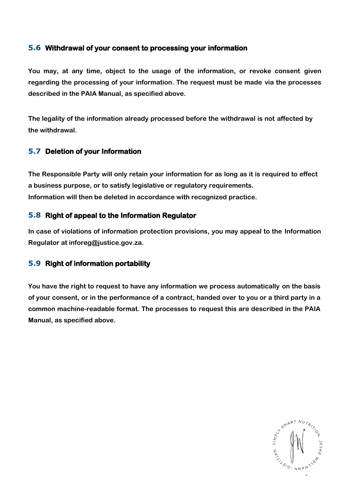#### **5.6 Withdrawal of your consent to processing your information**

**You may, at any time, object to the usage of the information, or revoke consent given regarding the processing of your information. The request must be made via the processes described in the PAIA Manual, as specified above.**

**The legality of the information already processed before the withdrawal is not affected by the withdrawal.**

#### **5.7 Deletion of your Information**

**The Responsible Party will only retain your information for as long as it is required to effect a business purpose, or to satisfy legislative or regulatory requirements. Information will then be deleted in accordance with recognized practice.**

#### **5.8 Right of appeal to the Information Regulator**

**In case of violations of information protection provisions, you may appeal to the Information Regulator at inforeg@justice.gov.za.**

#### **5.9 Right of information portability**

**You have the right to request to have any information we process automatically on the basis of your consent, or in the performance of a contract, handed over to you or a third party in a common machine-readable format. The processes to request this are described in the PAIA Manual, as specified above.**

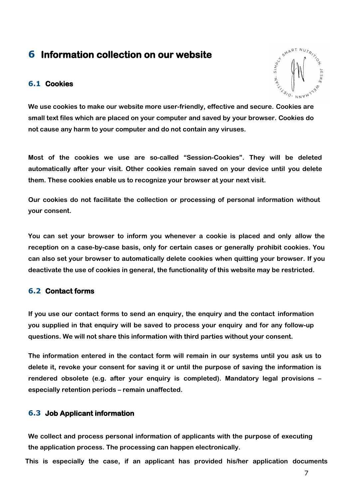### **6 Information collection on our website**

#### **6.1 Cookies**



**We use cookies to make our website more user-friendly, effective and secure. Cookies are small text files which are placed on your computer and saved by your browser. Cookies do not cause any harm to your computer and do not contain any viruses.**

**Most of the cookies we use are so-called "Session-Cookies". They will be deleted automatically after your visit. Other cookies remain saved on your device until you delete them. These cookies enable us to recognize your browser at your next visit.**

**Our cookies do not facilitate the collection or processing of personal information without your consent.**

**You can set your browser to inform you whenever a cookie is placed and only allow the reception on a case-by-case basis, only for certain cases or generally prohibit cookies. You can also set your browser to automatically delete cookies when quitting your browser. If you deactivate the use of cookies in general, the functionality of this website may be restricted.**

#### **6.2 Contact forms**

**If you use our contact forms to send an enquiry, the enquiry and the contact information you supplied in that enquiry will be saved to process your enquiry and for any follow-up questions. We will not share this information with third parties without your consent.**

**The information entered in the contact form will remain in our systems until you ask us to delete it, revoke your consent for saving it or until the purpose of saving the information is rendered obsolete (e.g. after your enquiry is completed). Mandatory legal provisions – especially retention periods – remain unaffected.**

#### **6.3 Job Applicant information**

**We collect and process personal information of applicants with the purpose of executing the application process. The processing can happen electronically.**

**This is especially the case, if an applicant has provided his/her application documents**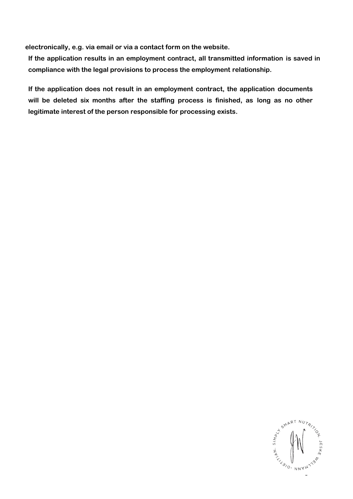**electronically, e.g. via email or via a contact form on the website.**

**If the application results in an employment contract, all transmitted information is saved in compliance with the legal provisions to process the employment relationship.**

**If the application does not result in an employment contract, the application documents will be deleted six months after the staffing process is finished, as long as no other legitimate interest of the person responsible for processing exists.**

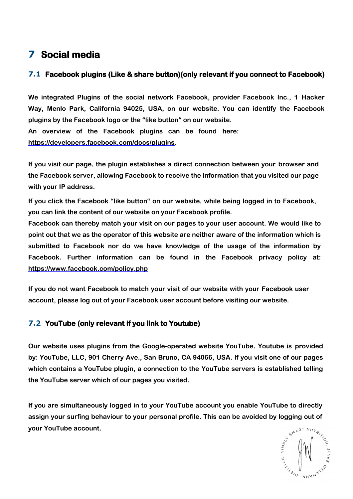# **7 Social media**

### **7.1 Facebook plugins (Like & share button)(only relevant if you connect to Facebook)**

**We integrated Plugins of the social network Facebook, provider Facebook Inc., 1 Hacker Way, Menlo Park, California 94025, USA, on our website. You can identify the Facebook plugins by the Facebook logo or the "like button" on our website. An overview of the Facebook plugins can be found here: https://developers.facebook.com/docs/plugins.**

**If you visit our page, the plugin establishes a direct connection between your browser and the Facebook server, allowing Facebook to receive the information that you visited our page with your IP address.**

**If you click the Facebook "like button" on our website, while being logged in to Facebook, you can link the content of our website on your Facebook profile.**

**Facebook can thereby match your visit on our pages to your user account. We would like to point out that we as the operator of this website are neither aware of the information which is submitted to Facebook nor do we have knowledge of the usage of the information by Facebook. Further information can be found in the Facebook privacy policy at: https:// www.facebook.com/policy.php**

**If you do not want Facebook to match your visit of our website with your Facebook user account, please log out of your Facebook user account before visiting our website.**

### **7.2 YouTube (only relevant if you link to Youtube)**

**Our website uses plugins from the Google-operated website YouTube. Youtube is provided by: YouTube, LLC, 901 Cherry Ave., San Bruno, CA 94066, USA. If you visit one of our pages which contains a YouTube plugin, a connection to the YouTube servers is established telling the YouTube server which of our pages you visited.**

**If you are simultaneously logged in to your YouTube account you enable YouTube to directly assign your surfing behaviour to your personal profile. This can be avoided by logging out of your YouTube account.**

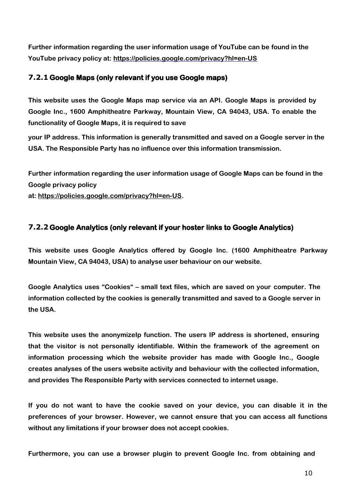**Further information regarding the user information usage of YouTube can be found in the YouTube privacy policy at: https://policies.google.com/privacy?hl=en-US**

### **7.2.1Google Maps (only relevant if you use Google maps)**

**This website uses the Google Maps map service via an API. Google Maps is provided by Google Inc., 1600 Amphitheatre Parkway, Mountain View, CA 94043, USA. To enable the functionality of Google Maps, it is required to save**

**your IP address. This information is generally transmitted and saved on a Google server in the USA. The Responsible Party has no influence over this information transmission.**

**Further information regarding the user information usage of Google Maps can be found in the Google privacy policy**

**at: [https://policies.google.com/privacy?hl=en-US.](https://policies.google.com/privacy?hl=en-US)**

### **7.2.2Google Analytics (only relevant if your hoster links to Google Analytics)**

**This website uses Google Analytics offered by Google Inc. (1600 Amphitheatre Parkway Mountain View, CA 94043, USA) to analyse user behaviour on our website.**

**Google Analytics uses "Cookies" – small text files, which are saved on your computer. The information collected by the cookies is generally transmitted and saved to a Google server in the USA.**

**This website uses the anonymizeIp function. The users IP address is shortened, ensuring that the visitor is not personally identifiable. Within the framework of the agreement on information processing which the website provider has made with Google Inc., Google creates analyses of the users website activity and behaviour with the collected information, and provides The Responsible Party with services connected to internet usage.**

**If you do not want to have the cookie saved on your device, you can disable it in the preferences of your browser. However, we cannot ensure that you can access all functions without any limitations if your browser does not accept cookies.**

**Furthermore, you can use a browser plugin to prevent Google Inc. from obtaining and**